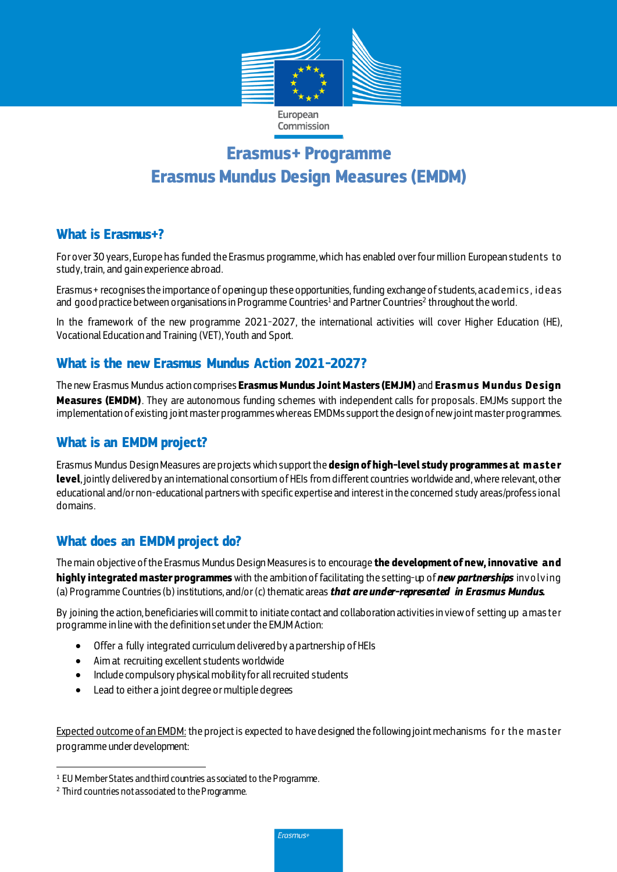

# **Erasmus+ Programme Erasmus Mundus Design Measures (EMDM)**

#### **What is Erasmus+?**

For over 30 years, Europe has funded the Erasmus programme, which has enabled over four million European students to study, train, and gain experience abroad.

Erasmus+ recognises the importance of opening up these opportunities,funding exchange of students, acad emics , id eas and <code>goodpractice</code> between organisations in Programme Countries<sup>1</sup> and Partner Countries<sup>2</sup> throughout the world.

In the framework of the new programme 2021-2027, the international activities will cover Higher Education (HE), Vocational Education and Training (VET), Youth and Sport.

#### **What is the new Erasmus Mundus Action 2021-2027?**

The new Erasmus Mundus action comprises **Erasmus Mundus Joint Masters (EMJM)** and **Erasm us Mundus Design Measures (EMDM)**. They are autonomous funding schemes with independent calls for proposals. EMJMs support the implementation of existing joint master programmes whereas EMDMssupport the design of new joint master programmes.

## **What is an EMDM project?**

Erasmus Mundus Design Measures are projects which support the **design of high-level study programmes at m aster level**, jointly delivered by an international consortium of HEIs from different countries worldwide and, where relevant, other educational and/or non-educational partners with specific expertise and interest in the concerned study areas/profess ional domains.

#### **What does an EMDMproject do?**

The main objective of the Erasmus Mundus Design Measures is to encourage **the development of new, innovative and highly integrated master programmes** with the ambition offacilitating the setting-up of *new partnerships* invo lving (a) Programme Countries(b) institutions, and/or (c) thematic areas *that are under-represented in Erasmus Mundus.* 

By joining the action, beneficiaries will commit to initiate contact and collaboration activities in view of setting up a mas ter programme in line with the definition set under the EMJM Action:

- Offer a fully integrated curriculum delivered by a partnership of HEIs
- Aim at recruiting excellent students worldwide
- Include compulsory physical mobility for all recruited students
- Lead to either a joint degree or multiple degrees

Expected outcome of an EMDM; the project is expected to have designed the following joint mechanisms for the master programme under development:

 $\overline{a}$ 

Erasmus+

<sup>1</sup> EU Member States and third countries associated to the Programme.

<sup>2</sup> Third countries not associated to the Programme.